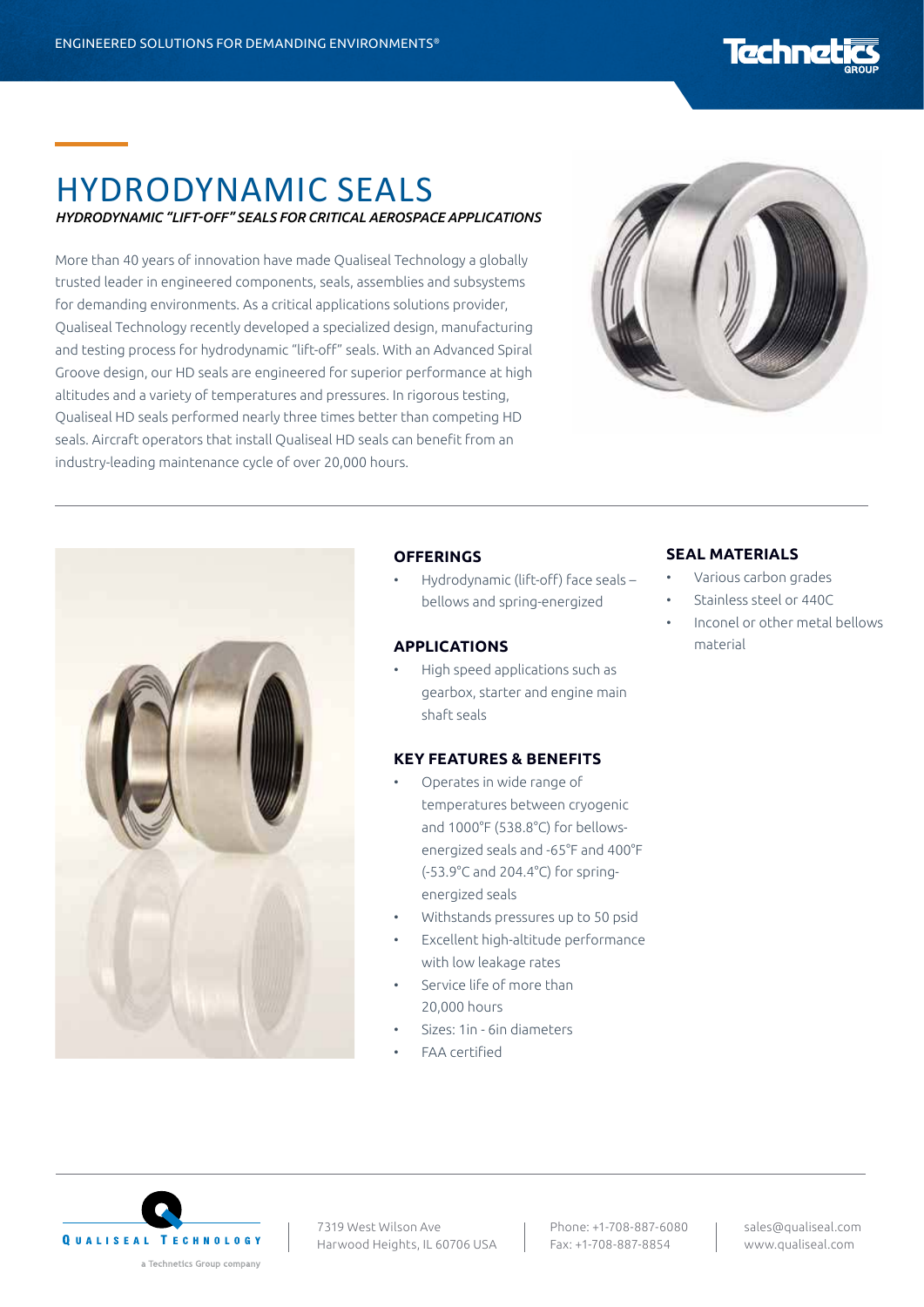# Techne

# HYDRODYNAMIC SEALS *HYDRODYNAMIC "LIFT-OFF" SEALS FOR CRITICAL AEROSPACE APPLICATIONS*

More than 40 years of innovation have made Qualiseal Technology a globally trusted leader in engineered components, seals, assemblies and subsystems for demanding environments. As a critical applications solutions provider, Qualiseal Technology recently developed a specialized design, manufacturing and testing process for hydrodynamic "lift-off" seals. With an Advanced Spiral Groove design, our HD seals are engineered for superior performance at high altitudes and a variety of temperatures and pressures. In rigorous testing, Qualiseal HD seals performed nearly three times better than competing HD seals. Aircraft operators that install Qualiseal HD seals can benefit from an industry-leading maintenance cycle of over 20,000 hours.





#### **OFFERINGS**

• Hydrodynamic (lift-off) face seals – bellows and spring-energized

#### **APPLICATIONS**

• High speed applications such as gearbox, starter and engine main shaft seals

#### **KEY FEATURES & BENEFITS**

- Operates in wide range of temperatures between cryogenic and 1000°F (538.8°C) for bellowsenergized seals and -65°F and 400°F (-53.9°C and 204.4°C) for springenergized seals
- Withstands pressures up to 50 psid
- Excellent high-altitude performance with low leakage rates
- Service life of more than 20,000 hours
- Sizes: 1in 6in diameters
- FAA certified

#### **SEAL MATERIALS**

- Various carbon grades
- Stainless steel or 440C
- Inconel or other metal bellows material



7319 West Wilson Ave Harwood Heights, IL 60706 USA

Phone: +1-708-887-6080 Fax: +1-708-887-8854

sales@qualiseal.com www.qualiseal.com